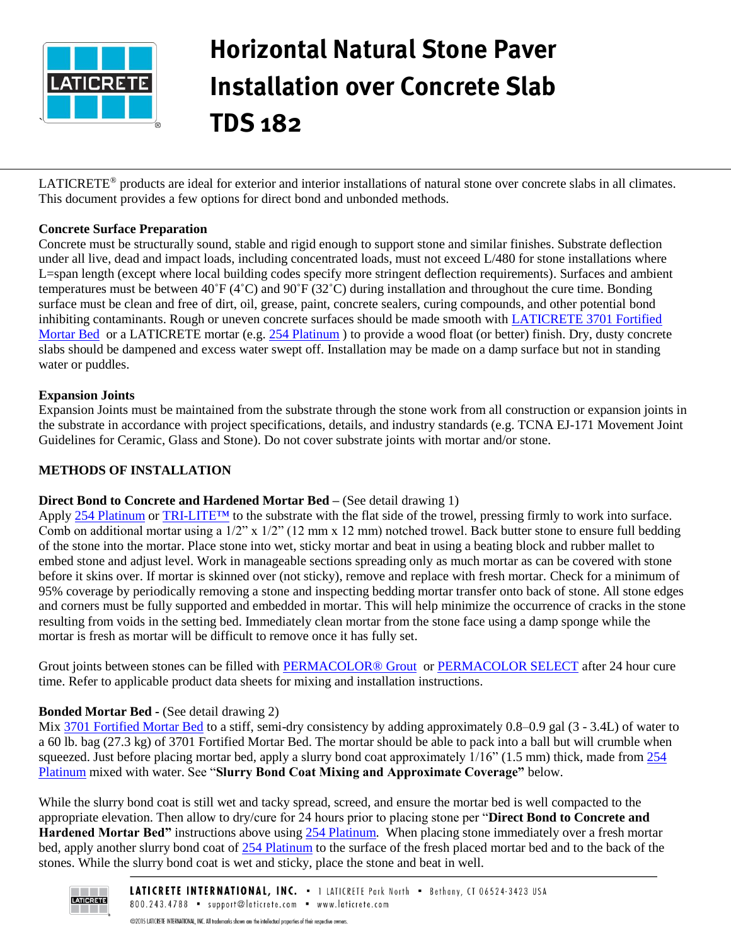

# Horizontal Natural Stone Paver Installation over Concrete Slab TDS 182

LATICRETE® products are ideal for exterior and interior installations of natural stone over concrete slabs in all climates. This document provides a few options for direct bond and unbonded methods.

# **Concrete Surface Preparation**

Concrete must be structurally sound, stable and rigid enough to support stone and similar finishes. Substrate deflection Under all live, dead and impact loads, including concentrated loads, must not exceed L/480 for stone installations where L=span length (except where local building codes specify more stringent deflection requirements). Surfaces and ambient temperatures must be between 40˚F (4˚C) and 90˚F (32˚C) during installation and throughout the cure time. Bonding surface must be clean and free of dirt, oil, grease, paint, concrete sealers, curing compounds, and other potential bond inhibiting contaminants. Rough or uneven concrete surfaces should be made smooth with [LATICRETE 3701 Fortified](https://laticrete.com/~/media/datasheets/lds1000.ashx)  [Mortar Bed](https://laticrete.com/~/media/datasheets/lds1000.ashx) or a LATICRETE mortar (e.g. [254 Platinum](https://laticrete.com/~/media/datasheets/lds6770.ashx)) to provide a wood float (or better) finish. Dry, dusty concrete slabs should be dampened and excess water swept off. Installation may be made on a damp surface but not in standing water or puddles.

# **Expansion Joints**

Expansion Joints must be maintained from the substrate through the stone work from all construction or expansion joints in the substrate in accordance with project specifications, details, and industry standards (e.g. TCNA EJ-171 Movement Joint Guidelines for Ceramic, Glass and Stone). Do not cover substrate joints with mortar and/or stone.

## **METHODS OF INSTALLATION**

# **Direct Bond to Concrete and Hardened Mortar Bed –** (See detail drawing 1)

Apply [254 Platinum](https://laticrete.com/~/media/datasheets/lds6770.ashx) or TRI-LITE<sup>TM</sup> to the substrate with the flat side of the trowel, pressing firmly to work into surface. Comb on additional mortar using a 1/2" x 1/2" (12 mm x 12 mm) notched trowel. Back butter stone to ensure full bedding of the stone into the mortar. Place stone into wet, sticky mortar and beat in using a beating block and rubber mallet to embed stone and adjust level. Work in manageable sections spreading only as much mortar as can be covered with stone before it skins over. If mortar is skinned over (not sticky), remove and replace with fresh mortar. Check for a minimum of 95% coverage by periodically removing a stone and inspecting bedding mortar transfer onto back of stone. All stone edges and corners must be fully supported and embedded in mortar. This will help minimize the occurrence of cracks in the stone resulting from voids in the setting bed. Immediately clean mortar from the stone face using a damp sponge while the mortar is fresh as mortar will be difficult to remove once it has fully set.

Grout joints between stones can be filled with [PERMACOLOR® Grout](https://laticrete.com/~/media/datasheets/ds2500.ashx) or [PERMACOLOR SELECT](https://laticrete.com/~/media/datasheets/lds2810.ashx) after 24 hour cure time. Refer to applicable product data sheets for mixing and installation instructions.

# **Bonded Mortar Bed -** (See detail drawing 2)

Mix [3701 Fortified Mortar Bed](https://laticrete.com/~/media/datasheets/lds1000.ashx) to a stiff, semi-dry consistency by adding approximately 0.8–0.9 gal (3 - 3.4L) of water to a 60 lb. bag (27.3 kg) of 3701 Fortified Mortar Bed. The mortar should be able to pack into a ball but will crumble when squeezed. Just before placing mortar bed, apply a slurry bond coat approximately  $1/16$ " (1.5 mm) thick, made from  $254$ [Platinum](https://laticrete.com/~/media/datasheets/lds6770.ashx) mixed with water. See "**Slurry Bond Coat Mixing and Approximate Coverage"** below.

While the slurry bond coat is still wet and tacky spread, screed, and ensure the mortar bed is well compacted to the appropriate elevation. Then allow to dry/cure for 24 hours prior to placing stone per "**Direct Bond to Concrete and Hardened Mortar Bed"** instructions above using [254 Platinum.](https://laticrete.com/~/media/datasheets/lds6770.ashx) When placing stone immediately over a fresh mortar bed, apply another slurry bond coat of [254 Platinum](https://laticrete.com/~/media/datasheets/lds6770.ashx) to the surface of the fresh placed mortar bed and to the back of the stones. While the slurry bond coat is wet and sticky, place the stone and beat in well.

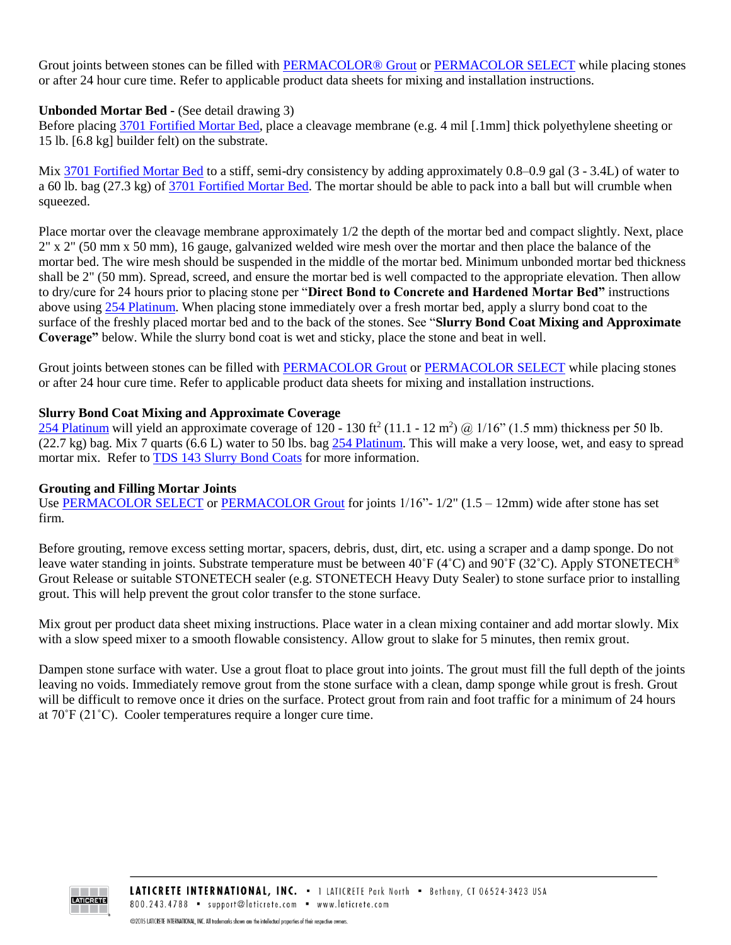Grout joints between stones can be filled with [PERMACOLOR® Grout](https://laticrete.com/~/media/datasheets/ds2500.ashx) o[r PERMACOLOR SELECT](https://laticrete.com/~/media/datasheets/lds2810.ashx) while placing stones or after 24 hour cure time. Refer to applicable product data sheets for mixing and installation instructions.

## **Unbonded Mortar Bed -** (See detail drawing 3)

Before placing [3701 Fortified Mortar Bed,](https://laticrete.com/~/media/datasheets/lds1000.ashx) place a cleavage membrane (e.g. 4 mil [.1mm] thick polyethylene sheeting or 15 lb. [6.8 kg] builder felt) on the substrate.

Mix [3701 Fortified Mortar Bed](https://laticrete.com/~/media/datasheets/lds1000.ashx) to a stiff, semi-dry consistency by adding approximately 0.8–0.9 gal (3 - 3.4L) of water to a 60 lb. bag (27.3 kg) of [3701 Fortified Mortar Bed.](https://laticrete.com/~/media/datasheets/lds1000.ashx) The mortar should be able to pack into a ball but will crumble when squeezed.

Place mortar over the cleavage membrane approximately 1/2 the depth of the mortar bed and compact slightly. Next, place 2" x 2" (50 mm x 50 mm), 16 gauge, galvanized welded wire mesh over the mortar and then place the balance of the mortar bed. The wire mesh should be suspended in the middle of the mortar bed. Minimum unbonded mortar bed thickness shall be 2" (50 mm). Spread, screed, and ensure the mortar bed is well compacted to the appropriate elevation. Then allow to dry/cure for 24 hours prior to placing stone per "**Direct Bond to Concrete and Hardened Mortar Bed"** instructions above using [254 Platinum.](https://laticrete.com/~/media/datasheets/lds6770.ashx) When placing stone immediately over a fresh mortar bed, apply a slurry bond coat to the surface of the freshly placed mortar bed and to the back of the stones. See "**Slurry Bond Coat Mixing and Approximate Coverage"** below. While the slurry bond coat is wet and sticky, place the stone and beat in well.

Grout joints between stones can be filled with [PERMACOLOR Grout](https://laticrete.com/~/media/datasheets/ds2500.ashx) or [PERMACOLOR SELECT](https://laticrete.com/~/media/datasheets/lds2810.ashx) while placing stones or after 24 hour cure time. Refer to applicable product data sheets for mixing and installation instructions.

#### **Slurry Bond Coat Mixing and Approximate Coverage**

[254 Platinum](https://laticrete.com/~/media/datasheets/lds6770.ashx) will yield an approximate coverage of  $120 - 130$  ft<sup>2</sup> (11.1 - 12 m<sup>2</sup>) @  $1/16$ <sup>o</sup> (1.5 mm) thickness per 50 lb.  $(22.7 \text{ kg})$  bag. Mix 7 quarts  $(6.6 \text{ L})$  water to 50 lbs. bag [254 Platinum.](https://laticrete.com/~/media/datasheets/lds6770.ashx) This will make a very loose, wet, and easy to spread mortar mix. Refer to [TDS 143 Slurry Bond Coats](https://laticrete.com/~/media/support-and-downloads/technical-datasheets/tds143.ashx?la=en) for more information.

#### **Grouting and Filling Mortar Joints**

Use [PERMACOLOR SELECT](https://laticrete.com/~/media/datasheets/lds2810.ashx) or [PERMACOLOR Grout](https://laticrete.com/~/media/datasheets/ds2500.ashx) for joints  $1/16$ "-  $1/2$ " ( $1.5 - 12$ mm) wide after stone has set firm.

Before grouting, remove excess setting mortar, spacers, debris, dust, dirt, etc. using a scraper and a damp sponge. Do not leave water standing in joints. Substrate temperature must be between  $40^{\circ}F(4^{\circ}C)$  and  $90^{\circ}F(32^{\circ}C)$ . Apply STONETECH<sup>®</sup> Grout Release or suitable STONETECH sealer (e.g. STONETECH Heavy Duty Sealer) to stone surface prior to installing grout. This will help prevent the grout color transfer to the stone surface.

Mix grout per product data sheet mixing instructions. Place water in a clean mixing container and add mortar slowly. Mix with a slow speed mixer to a smooth flowable consistency. Allow grout to slake for 5 minutes, then remix grout.

Dampen stone surface with water. Use a grout float to place grout into joints. The grout must fill the full depth of the joints leaving no voids. Immediately remove grout from the stone surface with a clean, damp sponge while grout is fresh. Grout will be difficult to remove once it dries on the surface. Protect grout from rain and foot traffic for a minimum of 24 hours at 70˚F (21˚C). Cooler temperatures require a longer cure time.